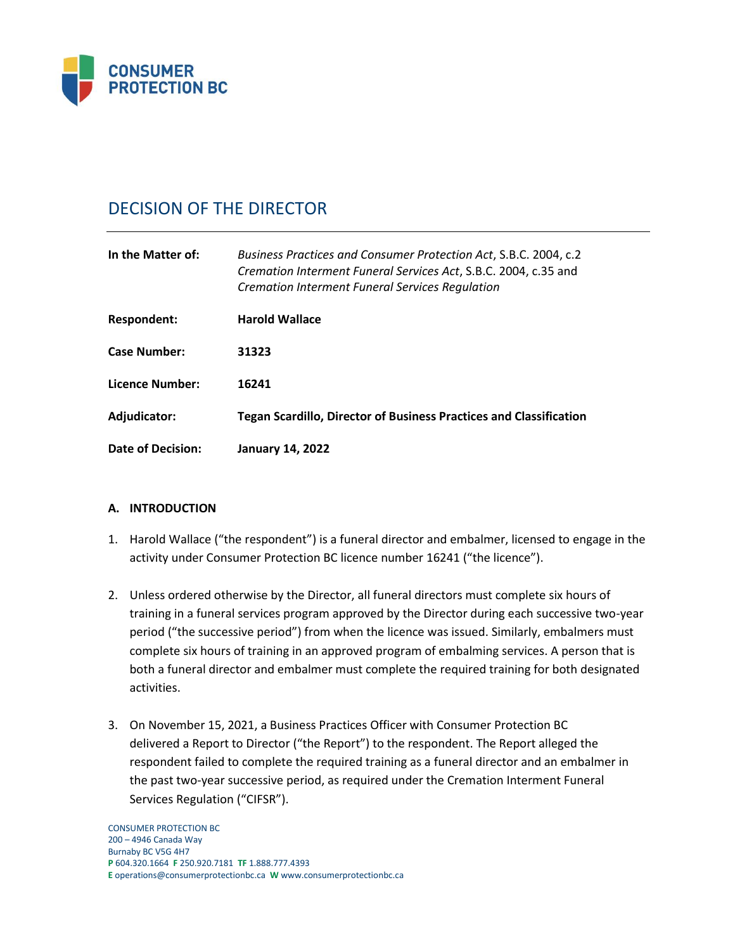

# DECISION OF THE DIRECTOR

| In the Matter of:   | Business Practices and Consumer Protection Act, S.B.C. 2004, c.2<br>Cremation Interment Funeral Services Act, S.B.C. 2004, c.35 and<br><b>Cremation Interment Funeral Services Regulation</b> |
|---------------------|-----------------------------------------------------------------------------------------------------------------------------------------------------------------------------------------------|
| Respondent:         | <b>Harold Wallace</b>                                                                                                                                                                         |
| <b>Case Number:</b> | 31323                                                                                                                                                                                         |
| Licence Number:     | 16241                                                                                                                                                                                         |
| Adjudicator:        | <b>Tegan Scardillo, Director of Business Practices and Classification</b>                                                                                                                     |
| Date of Decision:   | <b>January 14, 2022</b>                                                                                                                                                                       |

## **A. INTRODUCTION**

- 1. Harold Wallace ("the respondent") is a funeral director and embalmer, licensed to engage in the activity under Consumer Protection BC licence number 16241 ("the licence").
- 2. Unless ordered otherwise by the Director, all funeral directors must complete six hours of training in a funeral services program approved by the Director during each successive two-year period ("the successive period") from when the licence was issued. Similarly, embalmers must complete six hours of training in an approved program of embalming services. A person that is both a funeral director and embalmer must complete the required training for both designated activities.
- 3. On November 15, 2021, a Business Practices Officer with Consumer Protection BC delivered a Report to Director ("the Report") to the respondent. The Report alleged the respondent failed to complete the required training as a funeral director and an embalmer in the past two-year successive period, as required under the Cremation Interment Funeral Services Regulation ("CIFSR").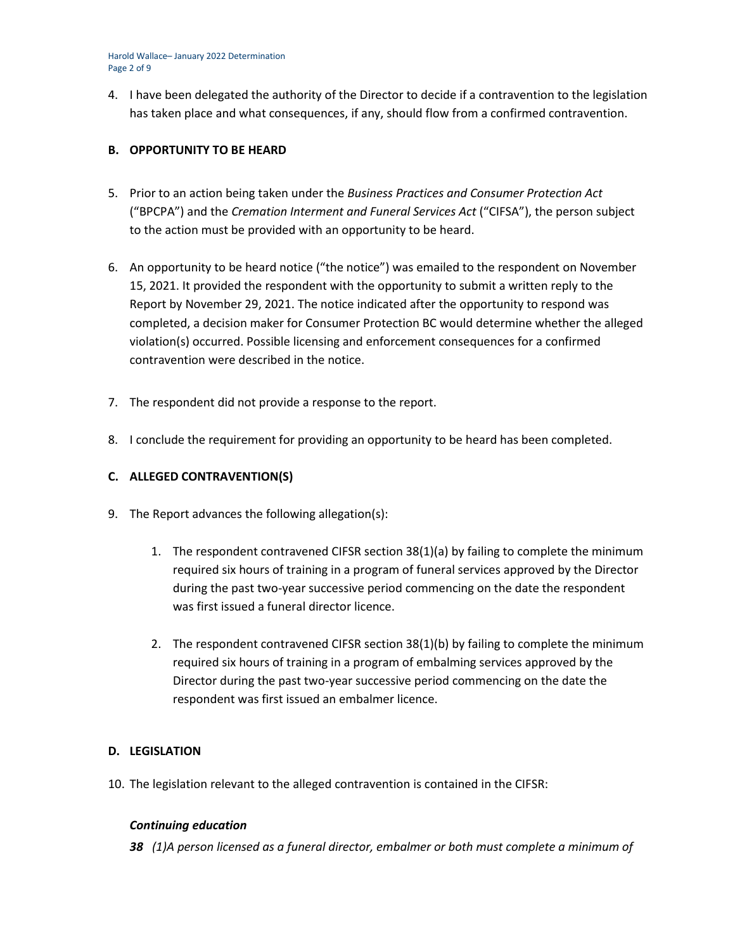Harold Wallace– January 2022 Determination Page 2 of 9

4. I have been delegated the authority of the Director to decide if a contravention to the legislation has taken place and what consequences, if any, should flow from a confirmed contravention.

## **B. OPPORTUNITY TO BE HEARD**

- 5. Prior to an action being taken under the *Business Practices and Consumer Protection Act* ("BPCPA") and the *Cremation Interment and Funeral Services Act* ("CIFSA"), the person subject to the action must be provided with an opportunity to be heard.
- 6. An opportunity to be heard notice ("the notice") was emailed to the respondent on November 15, 2021. It provided the respondent with the opportunity to submit a written reply to the Report by November 29, 2021. The notice indicated after the opportunity to respond was completed, a decision maker for Consumer Protection BC would determine whether the alleged violation(s) occurred. Possible licensing and enforcement consequences for a confirmed contravention were described in the notice.
- 7. The respondent did not provide a response to the report.
- 8. I conclude the requirement for providing an opportunity to be heard has been completed.

## **C. ALLEGED CONTRAVENTION(S)**

- 9. The Report advances the following allegation(s):
	- 1. The respondent contravened CIFSR section 38(1)(a) by failing to complete the minimum required six hours of training in a program of funeral services approved by the Director during the past two-year successive period commencing on the date the respondent was first issued a funeral director licence.
	- 2. The respondent contravened CIFSR section 38(1)(b) by failing to complete the minimum required six hours of training in a program of embalming services approved by the Director during the past two-year successive period commencing on the date the respondent was first issued an embalmer licence.

## **D. LEGISLATION**

10. The legislation relevant to the alleged contravention is contained in the CIFSR:

## *Continuing education*

*38 (1)A person licensed as a funeral director, embalmer or both must complete a minimum of*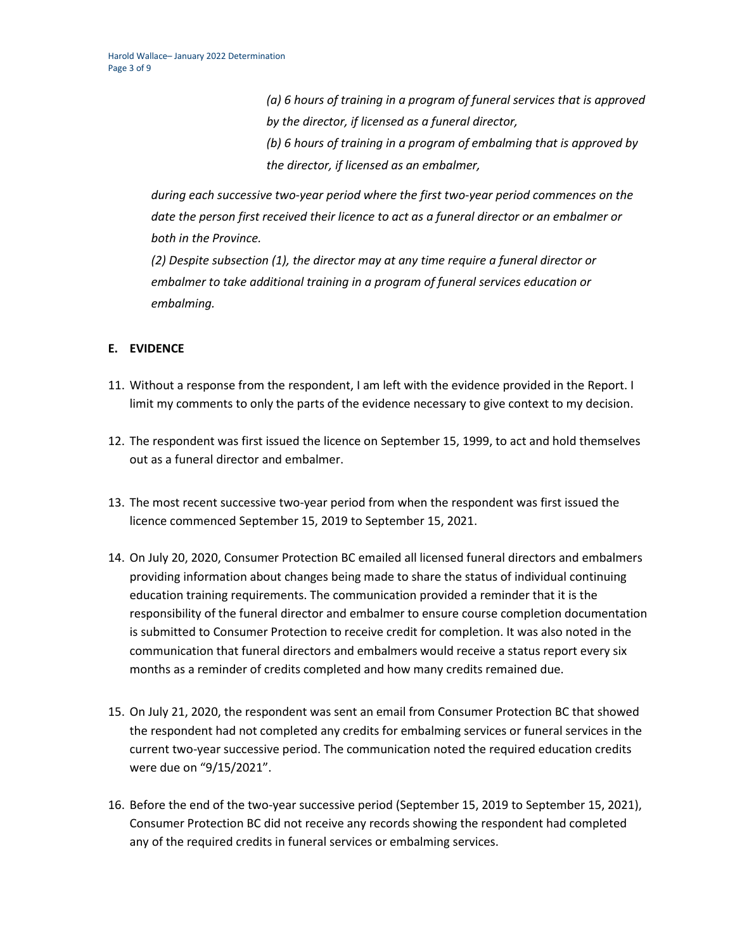*(a) 6 hours of training in a program of funeral services that is approved by the director, if licensed as a funeral director, (b) 6 hours of training in a program of embalming that is approved by the director, if licensed as an embalmer,*

*during each successive two-year period where the first two-year period commences on the date the person first received their licence to act as a funeral director or an embalmer or both in the Province.*

*(2) Despite subsection (1), the director may at any time require a funeral director or embalmer to take additional training in a program of funeral services education or embalming.*

## **E. EVIDENCE**

- 11. Without a response from the respondent, I am left with the evidence provided in the Report. I limit my comments to only the parts of the evidence necessary to give context to my decision.
- 12. The respondent was first issued the licence on September 15, 1999, to act and hold themselves out as a funeral director and embalmer.
- 13. The most recent successive two-year period from when the respondent was first issued the licence commenced September 15, 2019 to September 15, 2021.
- 14. On July 20, 2020, Consumer Protection BC emailed all licensed funeral directors and embalmers providing information about changes being made to share the status of individual continuing education training requirements. The communication provided a reminder that it is the responsibility of the funeral director and embalmer to ensure course completion documentation is submitted to Consumer Protection to receive credit for completion. It was also noted in the communication that funeral directors and embalmers would receive a status report every six months as a reminder of credits completed and how many credits remained due.
- 15. On July 21, 2020, the respondent was sent an email from Consumer Protection BC that showed the respondent had not completed any credits for embalming services or funeral services in the current two-year successive period. The communication noted the required education credits were due on "9/15/2021".
- 16. Before the end of the two-year successive period (September 15, 2019 to September 15, 2021), Consumer Protection BC did not receive any records showing the respondent had completed any of the required credits in funeral services or embalming services.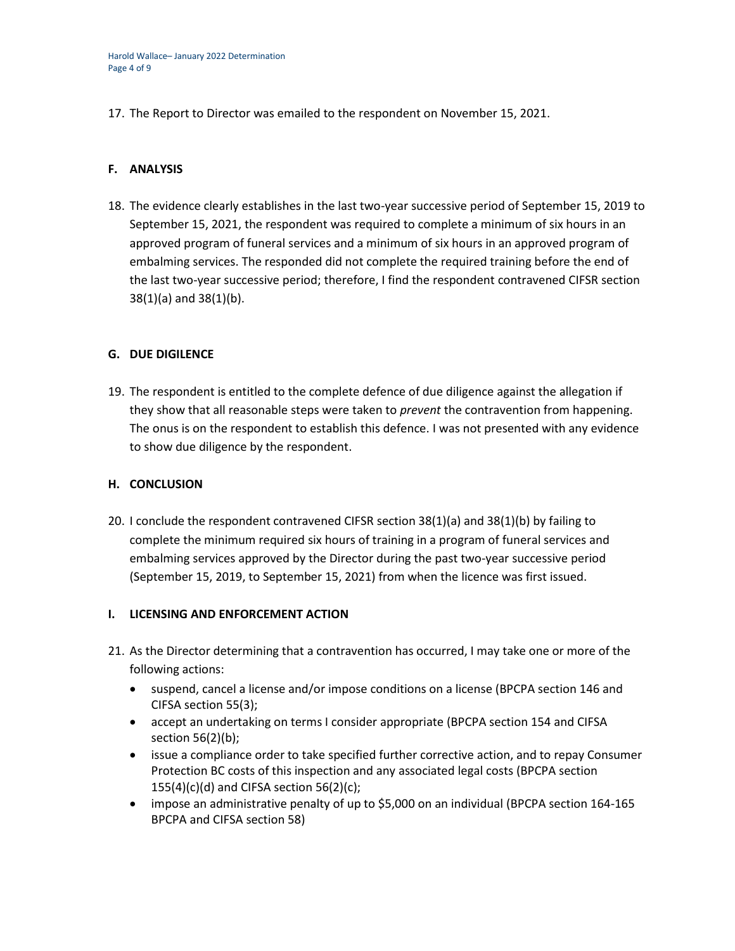17. The Report to Director was emailed to the respondent on November 15, 2021.

## **F. ANALYSIS**

18. The evidence clearly establishes in the last two-year successive period of September 15, 2019 to September 15, 2021, the respondent was required to complete a minimum of six hours in an approved program of funeral services and a minimum of six hours in an approved program of embalming services. The responded did not complete the required training before the end of the last two-year successive period; therefore, I find the respondent contravened CIFSR section 38(1)(a) and 38(1)(b).

## **G. DUE DIGILENCE**

19. The respondent is entitled to the complete defence of due diligence against the allegation if they show that all reasonable steps were taken to *prevent* the contravention from happening. The onus is on the respondent to establish this defence. I was not presented with any evidence to show due diligence by the respondent.

## **H. CONCLUSION**

20. I conclude the respondent contravened CIFSR section 38(1)(a) and 38(1)(b) by failing to complete the minimum required six hours of training in a program of funeral services and embalming services approved by the Director during the past two-year successive period (September 15, 2019, to September 15, 2021) from when the licence was first issued.

## **I. LICENSING AND ENFORCEMENT ACTION**

- 21. As the Director determining that a contravention has occurred, I may take one or more of the following actions:
	- suspend, cancel a license and/or impose conditions on a license (BPCPA section 146 and CIFSA section 55(3);
	- accept an undertaking on terms I consider appropriate (BPCPA section 154 and CIFSA section 56(2)(b);
	- issue a compliance order to take specified further corrective action, and to repay Consumer Protection BC costs of this inspection and any associated legal costs (BPCPA section  $155(4)(c)(d)$  and CIFSA section 56(2)(c);
	- impose an administrative penalty of up to \$5,000 on an individual (BPCPA section 164-165) BPCPA and CIFSA section 58)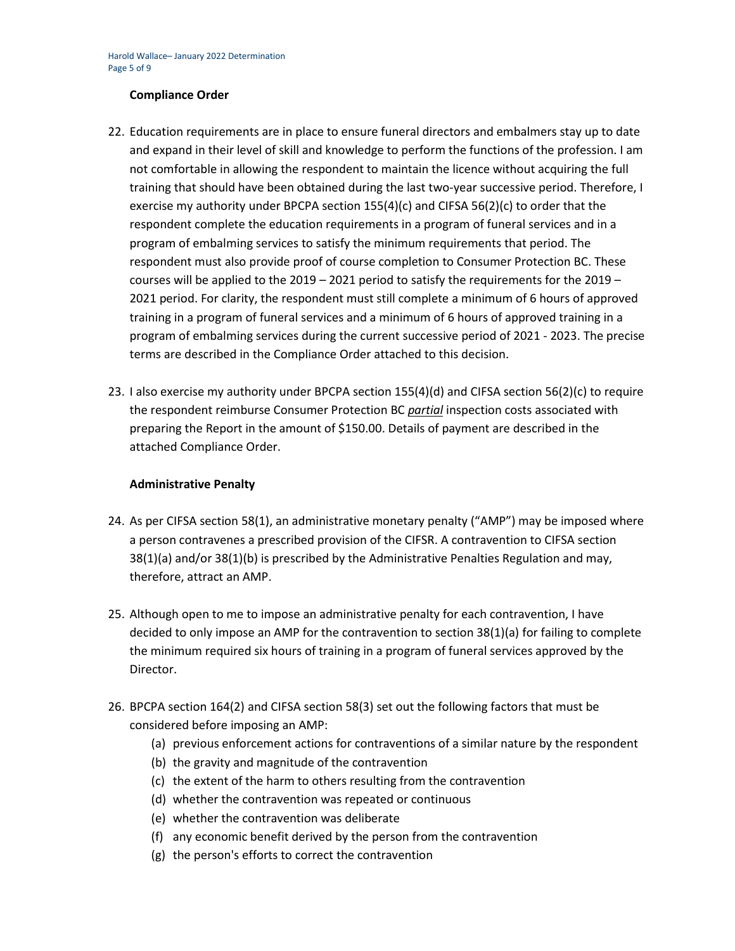## **Compliance Order**

- 22. Education requirements are in place to ensure funeral directors and embalmers stay up to date and expand in their level of skill and knowledge to perform the functions of the profession. I am not comfortable in allowing the respondent to maintain the licence without acquiring the full training that should have been obtained during the last two-year successive period. Therefore, I exercise my authority under BPCPA section 155(4)(c) and CIFSA 56(2)(c) to order that the respondent complete the education requirements in a program of funeral services and in a program of embalming services to satisfy the minimum requirements that period. The respondent must also provide proof of course completion to Consumer Protection BC. These courses will be applied to the  $2019 - 2021$  period to satisfy the requirements for the  $2019 - 100$ 2021 period. For clarity, the respondent must still complete a minimum of 6 hours of approved training in a program of funeral services and a minimum of 6 hours of approved training in a program of embalming services during the current successive period of 2021 - 2023. The precise terms are described in the Compliance Order attached to this decision.
- 23. I also exercise my authority under BPCPA section 155(4)(d) and CIFSA section 56(2)(c) to require the respondent reimburse Consumer Protection BC *partial* inspection costs associated with preparing the Report in the amount of \$150.00. Details of payment are described in the attached Compliance Order.

## **Administrative Penalty**

- 24. As per CIFSA section 58(1), an administrative monetary penalty ("AMP") may be imposed where a person contravenes a prescribed provision of the CIFSR. A contravention to CIFSA section 38(1)(a) and/or 38(1)(b) is prescribed by the Administrative Penalties Regulation and may, therefore, attract an AMP.
- 25. Although open to me to impose an administrative penalty for each contravention, I have decided to only impose an AMP for the contravention to section 38(1)(a) for failing to complete the minimum required six hours of training in a program of funeral services approved by the Director.
- 26. BPCPA section 164(2) and CIFSA section 58(3) set out the following factors that must be considered before imposing an AMP:
	- (a) previous enforcement actions for contraventions of a similar nature by the respondent
	- (b) the gravity and magnitude of the contravention
	- (c) the extent of the harm to others resulting from the contravention
	- (d) whether the contravention was repeated or continuous
	- (e) whether the contravention was deliberate
	- (f) any economic benefit derived by the person from the contravention
	- (g) the person's efforts to correct the contravention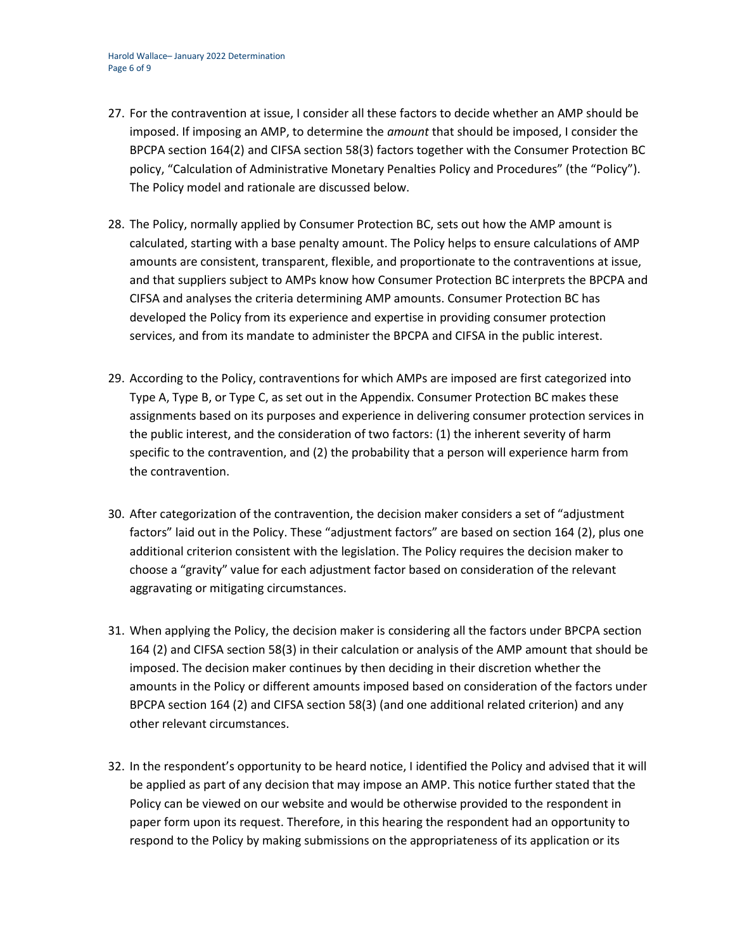- 27. For the contravention at issue, I consider all these factors to decide whether an AMP should be imposed. If imposing an AMP, to determine the *amount* that should be imposed, I consider the BPCPA section 164(2) and CIFSA section 58(3) factors together with the Consumer Protection BC policy, "Calculation of Administrative Monetary Penalties Policy and Procedures" (the "Policy"). The Policy model and rationale are discussed below.
- 28. The Policy, normally applied by Consumer Protection BC, sets out how the AMP amount is calculated, starting with a base penalty amount. The Policy helps to ensure calculations of AMP amounts are consistent, transparent, flexible, and proportionate to the contraventions at issue, and that suppliers subject to AMPs know how Consumer Protection BC interprets the BPCPA and CIFSA and analyses the criteria determining AMP amounts. Consumer Protection BC has developed the Policy from its experience and expertise in providing consumer protection services, and from its mandate to administer the BPCPA and CIFSA in the public interest.
- 29. According to the Policy, contraventions for which AMPs are imposed are first categorized into Type A, Type B, or Type C, as set out in the Appendix. Consumer Protection BC makes these assignments based on its purposes and experience in delivering consumer protection services in the public interest, and the consideration of two factors: (1) the inherent severity of harm specific to the contravention, and (2) the probability that a person will experience harm from the contravention.
- 30. After categorization of the contravention, the decision maker considers a set of "adjustment factors" laid out in the Policy. These "adjustment factors" are based on section 164 (2), plus one additional criterion consistent with the legislation. The Policy requires the decision maker to choose a "gravity" value for each adjustment factor based on consideration of the relevant aggravating or mitigating circumstances.
- 31. When applying the Policy, the decision maker is considering all the factors under BPCPA section 164 (2) and CIFSA section 58(3) in their calculation or analysis of the AMP amount that should be imposed. The decision maker continues by then deciding in their discretion whether the amounts in the Policy or different amounts imposed based on consideration of the factors under BPCPA section 164 (2) and CIFSA section 58(3) (and one additional related criterion) and any other relevant circumstances.
- 32. In the respondent's opportunity to be heard notice, I identified the Policy and advised that it will be applied as part of any decision that may impose an AMP. This notice further stated that the Policy can be viewed on our website and would be otherwise provided to the respondent in paper form upon its request. Therefore, in this hearing the respondent had an opportunity to respond to the Policy by making submissions on the appropriateness of its application or its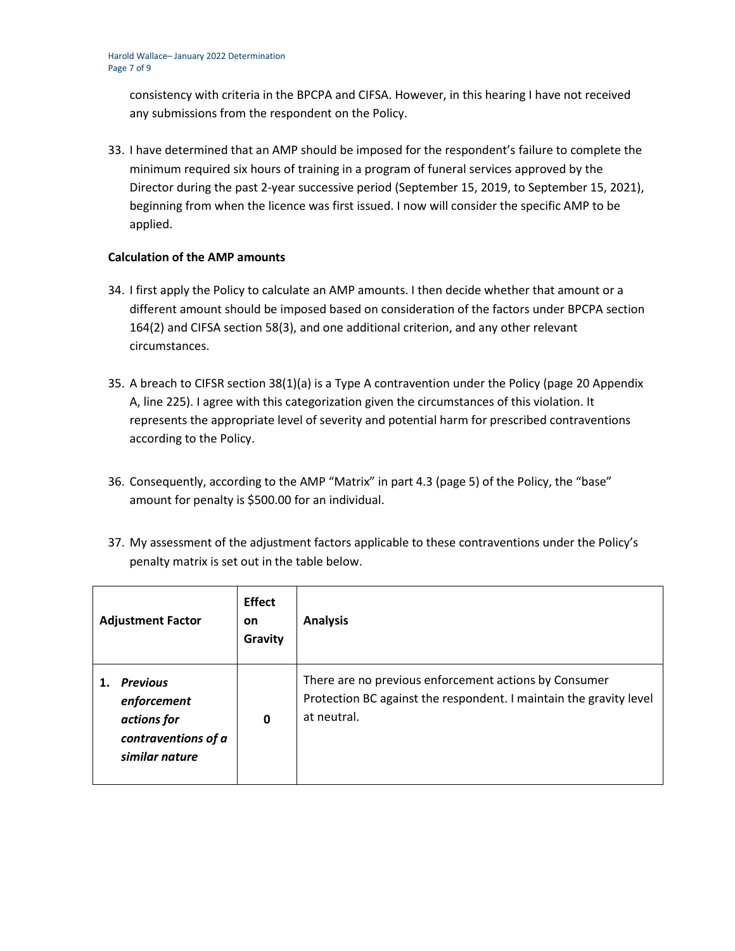consistency with criteria in the BPCPA and CIFSA. However, in this hearing I have not received any submissions from the respondent on the Policy.

33. I have determined that an AMP should be imposed for the respondent's failure to complete the minimum required six hours of training in a program of funeral services approved by the Director during the past 2-year successive period (September 15, 2019, to September 15, 2021), beginning from when the licence was first issued. I now will consider the specific AMP to be applied.

## **Calculation of the AMP amounts**

- 34. I first apply the Policy to calculate an AMP amounts. I then decide whether that amount or a different amount should be imposed based on consideration of the factors under BPCPA section 164(2) and CIFSA section 58(3), and one additional criterion, and any other relevant circumstances.
- 35. A breach to CIFSR section 38(1)(a) is a Type A contravention under the Policy (page 20 Appendix A, line 225). I agree with this categorization given the circumstances of this violation. It represents the appropriate level of severity and potential harm for prescribed contraventions according to the Policy.
- 36. Consequently, according to the AMP "Matrix" in part 4.3 (page 5) of the Policy, the "base" amount for penalty is \$500.00 for an individual.
- 37. My assessment of the adjustment factors applicable to these contraventions under the Policy's penalty matrix is set out in the table below.

| <b>Adjustment Factor</b>                                                               | <b>Effect</b><br><b>on</b><br>Gravity | <b>Analysis</b>                                                                                                                            |
|----------------------------------------------------------------------------------------|---------------------------------------|--------------------------------------------------------------------------------------------------------------------------------------------|
| <b>Previous</b><br>enforcement<br>actions for<br>contraventions of a<br>similar nature | $\mathbf 0$                           | There are no previous enforcement actions by Consumer<br>Protection BC against the respondent. I maintain the gravity level<br>at neutral. |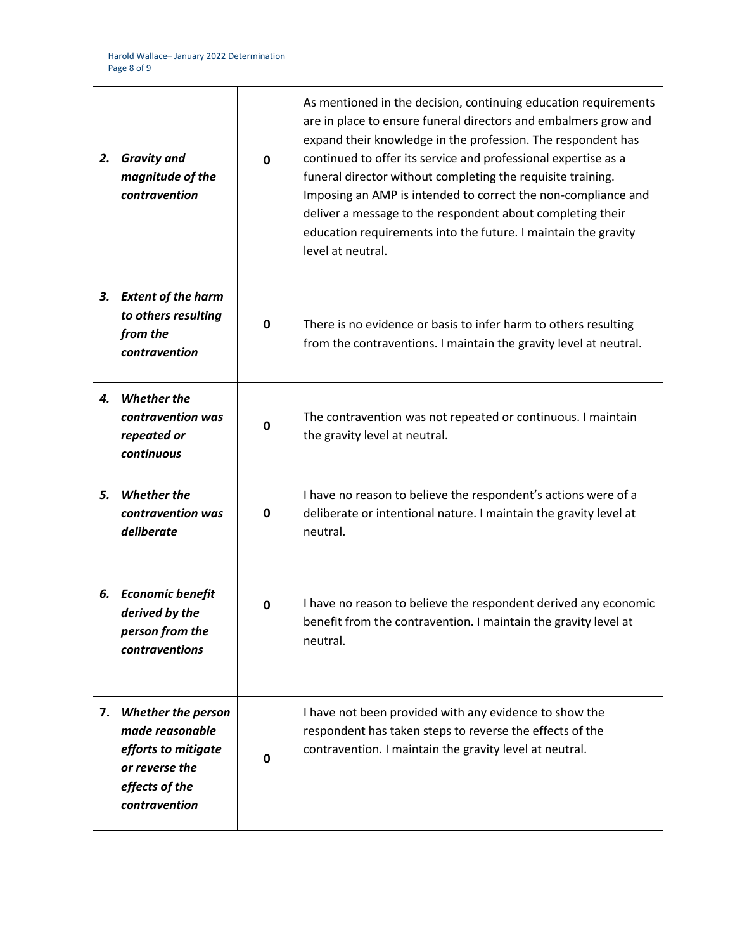| 2. | <b>Gravity and</b><br>magnitude of the<br>contravention                                                                  | $\mathbf{0}$ | As mentioned in the decision, continuing education requirements<br>are in place to ensure funeral directors and embalmers grow and<br>expand their knowledge in the profession. The respondent has<br>continued to offer its service and professional expertise as a<br>funeral director without completing the requisite training.<br>Imposing an AMP is intended to correct the non-compliance and<br>deliver a message to the respondent about completing their<br>education requirements into the future. I maintain the gravity<br>level at neutral. |
|----|--------------------------------------------------------------------------------------------------------------------------|--------------|-----------------------------------------------------------------------------------------------------------------------------------------------------------------------------------------------------------------------------------------------------------------------------------------------------------------------------------------------------------------------------------------------------------------------------------------------------------------------------------------------------------------------------------------------------------|
| З. | <b>Extent of the harm</b><br>to others resulting<br>from the<br>contravention                                            | 0            | There is no evidence or basis to infer harm to others resulting<br>from the contraventions. I maintain the gravity level at neutral.                                                                                                                                                                                                                                                                                                                                                                                                                      |
| 4. | <b>Whether the</b><br>contravention was<br>repeated or<br>continuous                                                     | $\mathbf 0$  | The contravention was not repeated or continuous. I maintain<br>the gravity level at neutral.                                                                                                                                                                                                                                                                                                                                                                                                                                                             |
| 5. | <b>Whether the</b><br>contravention was<br>deliberate                                                                    | 0            | I have no reason to believe the respondent's actions were of a<br>deliberate or intentional nature. I maintain the gravity level at<br>neutral.                                                                                                                                                                                                                                                                                                                                                                                                           |
|    | 6. Economic benefit<br>derived by the<br>person from the<br>contraventions                                               | 0            | I have no reason to believe the respondent derived any economic<br>benefit from the contravention. I maintain the gravity level at<br>neutral.                                                                                                                                                                                                                                                                                                                                                                                                            |
| 7. | <b>Whether the person</b><br>made reasonable<br>efforts to mitigate<br>or reverse the<br>effects of the<br>contravention | 0            | I have not been provided with any evidence to show the<br>respondent has taken steps to reverse the effects of the<br>contravention. I maintain the gravity level at neutral.                                                                                                                                                                                                                                                                                                                                                                             |